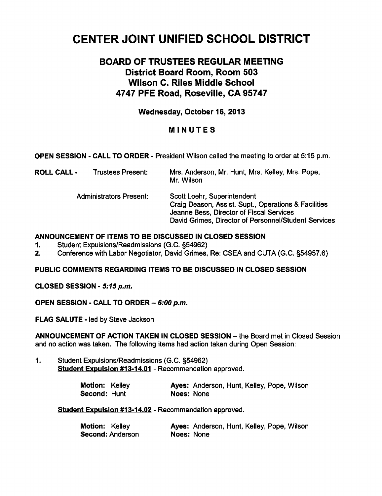# CENTER JOINT UNIFIED SCHOOL DISTRICT

# BOARD OF TRUSTEES REGULAR MEETING District Board Room, Room 503 Wilson C. Riles Middle School 4747 PFE Road, Roseville, CA 95747

# Wednesday, October 16, 2013

# MINUTES

## OPEN SESSION - CALL TO ORDER - President Wilson called the meeting to order at 5:15 p.m.

| ROLL CALL - | <b>Trustees Present:</b> | Mrs. Anderson, Mr. Hunt, Mrs. Kelley, Mrs. Pope, |
|-------------|--------------------------|--------------------------------------------------|
|             |                          | Mr. Wilson                                       |

Administrators Present: Scott Loehr, Superintendent Craig Deason, Assist. Supt., Operations & Facilities Jeanne Bess, Director of Fiscal Services David Grimes, Director of Personnel/Student Services

#### ANNOUNCEMENT OF ITEMS TO BE DISCUSSED IN CLOSED SESSION

- 1. Student Expulsions/Readmissions (G.C. §54962)
- 2. Conference with Labor Negotiator, David Grimes, Re: CSEA and CUTA (G.C. §54957.6)

# PUBLIC COMMENTS REGARDING ITEMS TO BE DISCUSSED IN CLOSED SESSION

CLOSED SESSION - 5:15 p.m.

OPEN SESSION - CALL TO ORDER  $-6:00$  p.m.

FLAG SALUTE - led by Steve Jackson

ANNOUNCEMENT OF ACTION TAKEN IN CLOSED SESSION - the Board met in Closed Session and no action was taken. The following items had action taken during Open Session:

1. Student Expulsions/Readmissions (G.C. §54962) Student Expulsion #13-14.01 - Recommendation approved.

| Motion: Kelley |            | Ayes: Anderson, Hunt, Kelley, Pope, Wilson |  |  |
|----------------|------------|--------------------------------------------|--|--|
| Second: Hunt   | Noes: None |                                            |  |  |

Student Expulsion #13-14.02 - Recommendation approved.

| Motion: Kelley   |            | Ayes: Anderson, Hunt, Kelley, Pope, Wilson |  |  |
|------------------|------------|--------------------------------------------|--|--|
| Second: Anderson | Noes: None |                                            |  |  |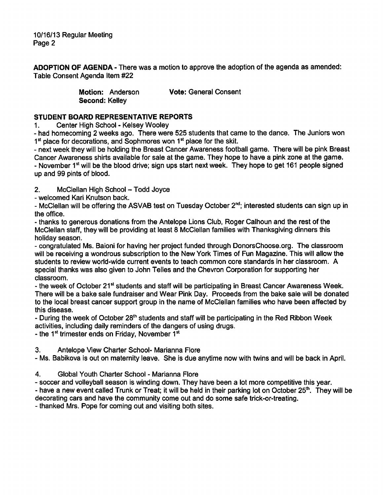ADOPTION OF AGENDA - There was a motion to approve the adoption of the agenda as amended: Table Consent Agenda Item #22

> Motion: Anderson **Vote: General Consent** Second: Kelley

# STUDENT BOARD REPRESENTATIVE REPORTS

1. Center High School - Kelsey Wooley

- had homecoming 2 weeks ago. There were 525 students that came to the dance. The Juniors won 1<sup>st</sup> place for decorations, and Sophmores won 1<sup>st</sup> place for the skit.

next week they will be holding the Breast Cancer Awareness football game. There will be pink Breast Cancer Awareness shirts available for sale at the game. They hope to have a pink zone at the game. - November 1<sup>st</sup> will be the blood drive; sign ups start next week. They hope to get 161 people signed up and 99 pints of blood.

2. McClellan High School - Todd Joyce

welcomed Kari Knutson back.

- McClellan will be offering the ASVAB test on Tuesday October 2<sup>nd</sup>; interested students can sign up in the office.

thanks to generous donations from the Antelope Lions Club, Roger Calhoun and the rest of the McClellan staff, they will be providing at least 8 McClellan families with Thanksgiving dinners this holiday season.

congratulated Ms. Baioni for having her project funded through DonorsChoose.org. The classroom will be receiving a wondrous subscription to the New York Times of Fun Magazine. This will allow the students to review world-wide current events to teach common core standards in her classroom. special thanks was also given to John Telles and the Chevron Corporation for supporting her classroom.

- the week of October 21<sup>st</sup> students and staff will be participating in Breast Cancer Awareness Week. There will be a bake sale fundraiser and Wear Pink Day. Proceeds from the bake sale will be donated to the local breast cancer support group in the name of McClellan families who have been affected by this disease.

- During the week of October 28<sup>th</sup> students and staff will be participating in the Red Ribbon Week activities, including daily reminders of the dangers of using drugs.

- the 1st trimester ends on Friday, November  $1<sup>st</sup>$ 

3. Antelope View Charter School- Marianna Flore

Ms. Babikova is out on maternity leave. She is due anytime now with twins and will be back in April.

4. Global Youth Charter School - Marianna Flore

- soccer and volleyball season is winding down. They have been a lot more competitive this year.

- have a new event called Trunk or Treat; it will be held in their parking lot on October  $25<sup>th</sup>$ . They will be decorating cars and have the community come out and do some safe trick-or-treating.

- thanked Mrs. Pope for coming out and visiting both sites.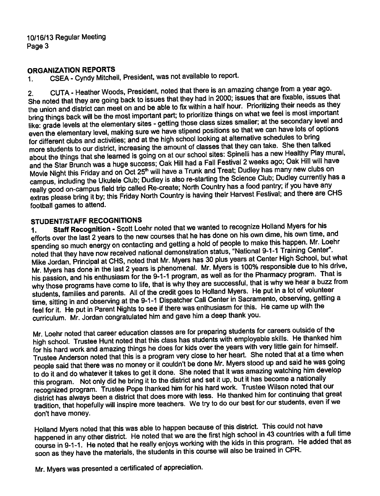# ORGANIZATION REPORTS

CSEA - Cyndy Mitchell, President, was not available to report.  $\mathbf 1$ 

CUTA - Heather Woods, President, noted that there is an amazing change from a year ago.  $2.$ She noted that they are going back to issues that they had in 2000; issues that are fixable, issues that the union and district can meet on and be able to fix within a half hour. Prioritizing their needs as they bring things back will be the most important part; to prioritize things on what we feel is most important like: grade levels at the elementary sites - getting those class sizes smaller; at the secondary level and even the elementary level, making sure we have stipend positions so that we can have lots of options for different clubs and activities; and at the high school looking at alternative schedules to bring more students to our district, increasing the amount of classes that they can take. She then talked about the things that she learned is going on at our school sites: Spinelli has a new Healthy Play mural, and the Star Brunch was a huge success; Oak Hill had a Fall Festival 2 weeks ago; Oak Hill will have Movie Night this Friday and on Oct 25<sup>th</sup> will have a Trunk and Treat; Dudley has many new clubs on campus, including the Ukulele Club; Dudley is also re-starting the Science Club; Dudley currently has a really good on-campus field trip called Re-create; North Country has a food pantry; if you have any extras please bring it by; this Friday North Country is having their Harvest Festival; and there are CHS football games to attend.

# STUDENT/STAFF RECOGNITIONS

Staff Recognition - Scott Loehr noted that we wanted to recognize Holland Myers for his  $\mathbf{1}$ . efforts over the last 2 years to the new courses that he has done on his own dime, his own time, and spending so much energy on contacting and getting a hold of people to make this happen. Mr. Loehr noted that they have now received national demonstration status, "National 9-1-1 Training Center". Mike Jordan, Principal at CHS, noted that Mr. Myers has 30 plus years at Center High School, but what Mr. Myers has done in the last 2 years is phenomenal. Mr. Myers is 100% responsible due to his drive, his passion, and his enthusiasm for the 9-1-1 program, as well as for the Pharmacy program. That is why those programs have come to life, that is why they are successful, that is why we hear a buzz from students, families and parents. All of the credit goes to Holland Myers. He put in a lot of volunteer time, sitting in and observing at the 9-1-1 Dispatcher Call Center in Sacramento, observing, getting a feel for it. He put in Parent Nights to see if there was enthusiasm for this. He came up with the curriculum. Mr. Jordan congratulated him and gave him a deep thank you.

Mr Loehr noted that career education classes are for preparing students for careers outside of the high school. Trustee Hunt noted that this class has students with employable skills. He thanked him for his hard work and amazing things he does for kids over the years with very little gain for himself. Trustee Anderson noted that this is a program very close to her heart. She noted that at a time when people said that there was no money or it couldn't be done Mr. Myers stood up and said he was going to do it and do whatever it takes to get it done. She noted that it was amazing watching him develop this program. Not only did he bring it to the district and set it up, but it has become a nationally recognized program. Trustee Pope thanked him for his hard work. Trustee Wilson noted that our district has always been a district that does more with less. He thanked him for continuing that great tradition, that hopefully will inspire more teachers. We try to do our best for our students, even if we don't have money.

Holland Myers noted that this was able to happen because of this district. This could not have happened in any other district. He noted that we are the first high school in 43 countries with a full time course in 9-1-1. He noted that he really enjoys working with the kids in this program. He added that as soon as they have the materials, the students in this course will also be trained in CPR.

Mr. Myers was presented a certificated of appreciation.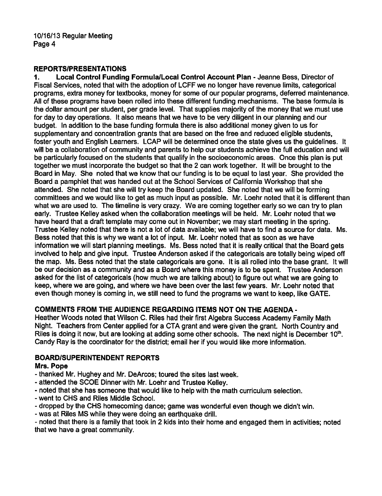# REPORTS/PRESENTATIONS

1. Local Control Funding Formula/Local Control Account Plan - Jeanne Bess, Director of Fiscal Services, noted that with the adoption of LCFF we no longer have revenue limits, categorical programs, extra money for textbooks, money for some of our popular programs, deferred maintenance. All of these programs have been rolled into these different funding mechanisms. The base formula is the dollar amount per student, per grade level. That supplies majority of the money that we must use for day to day operations. It also means that we have to be very diligent in our planning and our budget. In addition to the base funding formula there is also additional money given to us for supplementary and concentration grants that are based on the free and reduced eligible students, foster youth and English Learners. LCAP will be determined once the state gives us the guidelines. It will be a collaboration of community and parents to help our students achieve the full education and will be particularly focused on the students that qualify in the socioeconomic areas. Once this plan is put together we must incorporate the budget so that the 2 can work together. It will be brought to the Board in May. She noted that we know that our funding is to be equal to last year. She provided the Board a pamphlet that was handed out at the School Services of California Workshop that she attended. She noted that she will try keep the Board updated. She noted that we will be forming committees and we would like to get as much input as possible. Mr. Loehr noted that it is different than what we are used to. The timeline is very crazy. We are coming together early so we can try to plan early. Trustee Kelley asked when the collaboration meetings will be held. Mr. Loehr noted that we have heard that a draft template may come out in November; we may start meeting in the spring. Trustee Kelley noted that there is not a lot of data available; we will have to find a source for data. Ms. Bess noted that this is why we want a lot of input. Mr. Loehr noted that as soon as we have information we will start planning meetings. Ms. Bess noted that it is really critical that the Board gets involved to help and give input. Trustee Anderson asked if the categoricals are totally being wiped off the map. Ms. Bess noted that the state categoricals are gone. It is all rolled into the base grant. It will be our decision as a community and as a Board where this money is to be spent. Trustee Anderson asked for the list of categoricals (how much we are talking about) to figure out what we are going to keep, where we are going, and where we have been over the last few years. Mr. Loehr noted that even though money is coming in, we still need to fund the programs we want to keep, like GATE.

# COMMENTS FROM THE AUDIENCE REGARDING ITEMS NOT ON THE AGENDA

Heather Woods noted that Wilson C. Riles had their first Algebra Success Academy Family Math Night. Teachers from Center applied for a CTA grant and were given the grant. North Country and Riles is doing it now, but are looking at adding some other schools. The next night is December  $10<sup>th</sup>$ . Candy Ray is the coordinator for the district; email her if you would like more information.

# BOARD/SUPERINTENDENT REPORTS

## Mrs. Pope

- thanked Mr. Hughey and Mr. DeArcos; toured the sites last week.
- attended the SCOE Dinner with Mr. Loehr and Trustee Kelley.
- noted that she has someone that would like to help with the math curriculum selection.
- went to CHS and Riles Middle School.
- dropped by the CHS homecoming dance; game was wonderful even though we didn't win.
- was at Riles MS while they were doing an earthquake drill.

- noted that there is a family that took in 2 kids into their home and engaged them in activities; noted that we have a great community.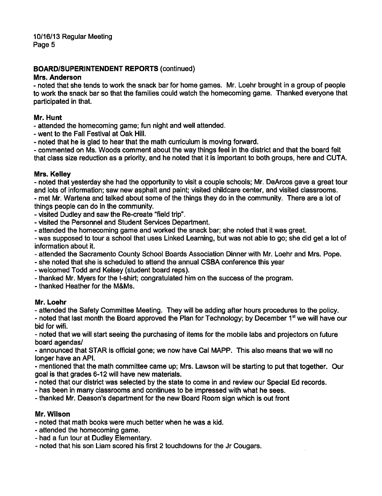# BOARD/SUPERINTENDENT REPORTS (continued)

#### Mrs. Anderson

- noted that she tends to work the snack bar for home games. Mr. Loehr brought in a group of people to work the snack bar so that the families could watch the homecoming game. Thanked everyone that participated in that.

#### Mr. Hunt

attended the homecoming game; fun night and well attended.

- went to the Fall Festival at Oak Hill.
- noted that he is glad to hear that the math curriculum is moving forward.

commented on Ms. Woods comment about the way things feel in the district and that the board felt that class size reduction as priority, and he noted that it is important to both groups, here and CUTA.

## Mrs. Kelley

- noted that vesterday she had the opportunity to visit a couple schools; Mr. DeArcos gave a great tour and lots of information; saw new asphalt and paint; visited childcare center, and visited classrooms. - met Mr. Wartena and talked about some of the things they do in the community. There are a lot of things people can do in the community.

- visited Dudley and saw the Re-create "field trip".
- visited the Personnel and Student Services Department.
- attended the homecoming game and worked the snack bar; she noted that it was great.

- was supposed to tour a school that uses Linked Learning, but was not able to go; she did get a lot of information about it.

- attended the Sacramento County School Boards Association Dinner with Mr. Loehr and Mrs. Pope.
- she noted that she is scheduled to attend the annual CSBA conference this year
- welcomed Todd and Kelsey (student board reps).
- thanked Mr. Myers for the t-shirt; congratulated him on the success of the program.
- thanked Heather for the M&Ms.

## Mr. Loehr

attended the Safety Committee Meeting. They will be adding after hours procedures to the policy.

- noted that last month the Board approved the Plan for Technology; by December  $1<sup>st</sup>$  we will have our bid for wifi.

noted that we will start seeing the purchasing of items for the mobile labs and projectors on future board agendas/

announced that STAR is official gone; we now have Cal MAPP. This also means that we will no longer have an API.

mentioned that the math committee came up; Mrs. Lawson will be starting to put that together. Our goal is that grades 6-12 will have new materials.

- noted that our district was selected by the state to come in and review our Special Ed records.
- has been in many classrooms and continues to be impressed with what he sees.

thanked Mr. Deason's department for the new Board Room sign which is out front

## Mr. Wilson

- noted that math books were much better when he was a kid.
- attended the homecoming game.
- had a fun tour at Dudley Elementary.
- noted that his son Liam scored his first 2 touchdowns for the Jr Cougars.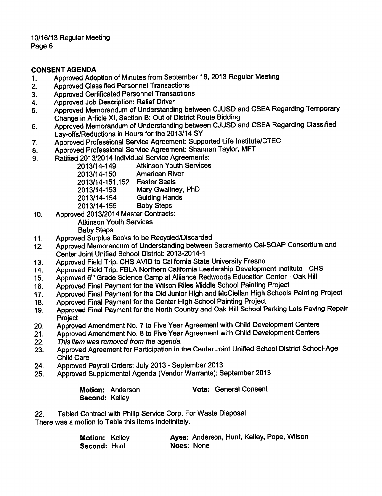#### CONSENT AGENDA

- 1. Approved Adoption of Minutes from September 16, 2013 Regular Meeting
- 2. Approved Classified Personnel Transactions
- 3. Approved Certificated Personnel Transactions
- 4. Approved Job Description: Relief Driver
- 5. Approved Memorandum of Understanding between CJUSD and CSEA Regarding Temporary Change in Article XI, Section B: Out of District Route Bidding
- 6. Approved Memorandum of Understanding between CJUSD and CSEA Regarding Classified Lay-offs/Reductions in Hours for the 2013/14 SY
- 7. Approved Professional Service Agreement: Supported Life Institute/CTEC
- 8. Approved Professional Service Agreement: Shannan Taylor, MFT
- 9. Ratified 2013/2014 Individual Service Agreements:
	- 2013/14-149 Atkinson Youth Services
	- 2013/14-150 American River
	- 2013/14-151,152 Easter Seals
	- 2013/14-153 Mary Gwaltney, PhD
	- 2013/14-154 Guiding Hands
	- 2013/14-155 Baby Steps
- 10. Approved 2013/2014 Master Contracts:
	- Atkinson Youth Services
	- Baby Steps
- 11. Approved Surplus Books to be Recycled/Discarded
- 12. Approved Memorandum of Understanding between Sacramento Cal-SOAP Consortium and Center Joint Unified School District: 2013-2014-1
- 13. Approved Field Trip: CHS AVID to California State University Fresno
- 14. Approved Field Trip: FBLA Northern California Leadership Development Institute CHS
- 15. Approved 6<sup>th</sup> Grade Science Camp at Alliance Redwoods Education Center Oak Hill
- 16. Approved Final Payment for the Wilson Riles Middle School Painting Project
- 17. Approved Final Payment for the Old Junior High and McClellan High Schools Painting Project
- 18. Approved Final Payment for the Center High School Painting Project
- 19. Approved Final Payment for the North Country and Oak Hill School Parking Lots Paving Repair **Project**
- 20. Approved Amendment No. 7 to Five Year Agreement with Child Development Centers
- 21. Approved Amendment No. 8 to Five Year Agreement with Child Development Centers
- 22. This item was removed from the agenda.
- 23. Approved Agreement for Participation in the Center Joint Unified School District School-Age Child Care
- 24. Approved Payroll Orders: July 2013 September 2013
- 25. Approved Supplemental Agenda (Vendor Warrants): September 2013

|                | <b>Motion: Anderson</b> | <b>Vote: General Consent</b> |
|----------------|-------------------------|------------------------------|
| Second: Kelley |                         |                              |

22. Tabled Contract with Philip Service Corp. For Waste Disposal There was a motion to Table this items indefinitely.

| Motion: Kelley |            | Ayes: Anderson, Hunt, Kelley, Pope, Wilson |  |  |
|----------------|------------|--------------------------------------------|--|--|
| Second: Hunt   | Noes: None |                                            |  |  |